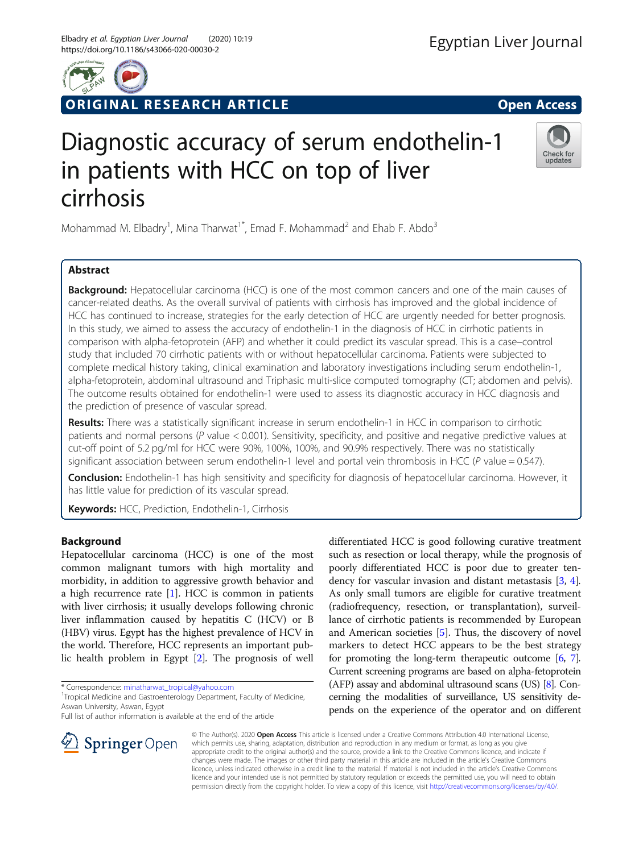

# ORIGINAL RESEARCH ARTICLE **Solution Contract Contract Contract Contract Contract Contract Contract Contract Contract Contract Contract Contract Contract Contract Contract Contract Contract Contract Contract Contract Contra**

# Diagnostic accuracy of serum endothelin-1 in patients with HCC on top of liver cirrhosis

Mohammad M. Elbadry<sup>1</sup>, Mina Tharwat<sup>1\*</sup>, Emad F. Mohammad<sup>2</sup> and Ehab F. Abdo<sup>3</sup>

# Abstract

Background: Hepatocellular carcinoma (HCC) is one of the most common cancers and one of the main causes of cancer-related deaths. As the overall survival of patients with cirrhosis has improved and the global incidence of HCC has continued to increase, strategies for the early detection of HCC are urgently needed for better prognosis. In this study, we aimed to assess the accuracy of endothelin-1 in the diagnosis of HCC in cirrhotic patients in comparison with alpha-fetoprotein (AFP) and whether it could predict its vascular spread. This is a case–control study that included 70 cirrhotic patients with or without hepatocellular carcinoma. Patients were subjected to complete medical history taking, clinical examination and laboratory investigations including serum endothelin-1, alpha-fetoprotein, abdominal ultrasound and Triphasic multi-slice computed tomography (CT; abdomen and pelvis). The outcome results obtained for endothelin-1 were used to assess its diagnostic accuracy in HCC diagnosis and the prediction of presence of vascular spread.

Results: There was a statistically significant increase in serum endothelin-1 in HCC in comparison to cirrhotic patients and normal persons (P value < 0.001). Sensitivity, specificity, and positive and negative predictive values at cut-off point of 5.2 pg/ml for HCC were 90%, 100%, 100%, and 90.9% respectively. There was no statistically significant association between serum endothelin-1 level and portal vein thrombosis in HCC ( $P$  value = 0.547).

**Conclusion:** Endothelin-1 has high sensitivity and specificity for diagnosis of hepatocellular carcinoma. However, it has little value for prediction of its vascular spread.

Keywords: HCC, Prediction, Endothelin-1, Cirrhosis

# Background

Hepatocellular carcinoma (HCC) is one of the most common malignant tumors with high mortality and morbidity, in addition to aggressive growth behavior and a high recurrence rate  $[1]$  $[1]$ . HCC is common in patients with liver cirrhosis; it usually develops following chronic liver inflammation caused by hepatitis C (HCV) or B (HBV) virus. Egypt has the highest prevalence of HCV in the world. Therefore, HCC represents an important public health problem in Egypt [\[2](#page-5-0)]. The prognosis of well

\* Correspondence: [minatharwat\\_tropical@yahoo.com](mailto:minatharwat_tropical@yahoo.com) <sup>1</sup>

Full list of author information is available at the end of the article

differentiated HCC is good following curative treatment such as resection or local therapy, while the prognosis of poorly differentiated HCC is poor due to greater tendency for vascular invasion and distant metastasis [[3,](#page-5-0) [4](#page-5-0)]. As only small tumors are eligible for curative treatment (radiofrequency, resection, or transplantation), surveillance of cirrhotic patients is recommended by European and American societies [\[5](#page-5-0)]. Thus, the discovery of novel markers to detect HCC appears to be the best strategy for promoting the long-term therapeutic outcome [\[6](#page-5-0), [7](#page-5-0)]. Current screening programs are based on alpha-fetoprotein (AFP) assay and abdominal ultrasound scans (US) [\[8\]](#page-5-0). Concerning the modalities of surveillance, US sensitivity depends on the experience of the operator and on different



© The Author(s). 2020 Open Access This article is licensed under a Creative Commons Attribution 4.0 International License, which permits use, sharing, adaptation, distribution and reproduction in any medium or format, as long as you give appropriate credit to the original author(s) and the source, provide a link to the Creative Commons licence, and indicate if changes were made. The images or other third party material in this article are included in the article's Creative Commons licence, unless indicated otherwise in a credit line to the material. If material is not included in the article's Creative Commons licence and your intended use is not permitted by statutory regulation or exceeds the permitted use, you will need to obtain permission directly from the copyright holder. To view a copy of this licence, visit <http://creativecommons.org/licenses/by/4.0/>.



<sup>&</sup>lt;sup>1</sup>Tropical Medicine and Gastroenterology Department, Faculty of Medicine, Aswan University, Aswan, Egypt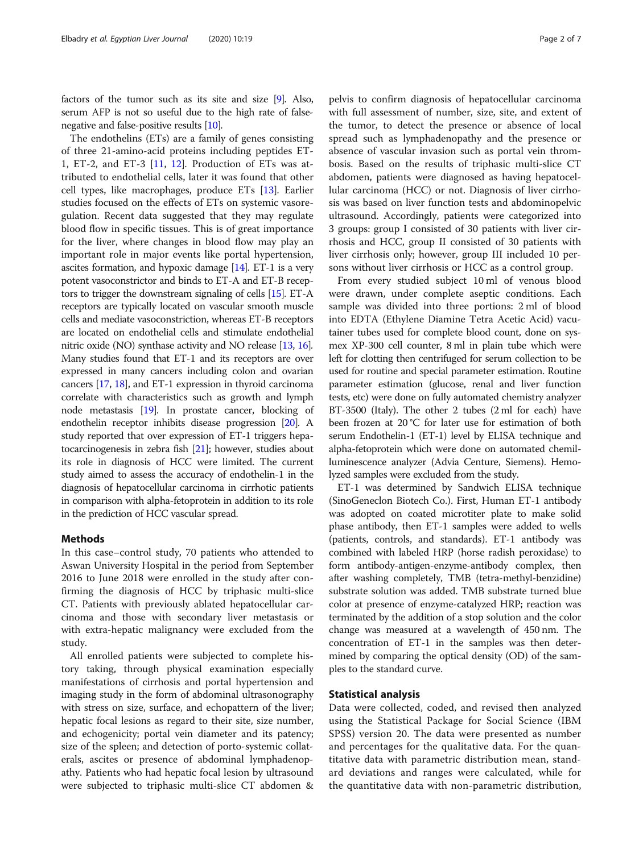factors of the tumor such as its site and size [\[9\]](#page-5-0). Also, serum AFP is not so useful due to the high rate of falsenegative and false-positive results [\[10\]](#page-5-0).

The endothelins (ETs) are a family of genes consisting of three 21-amino-acid proteins including peptides ET-1, ET-2, and ET-3 [\[11](#page-5-0), [12](#page-5-0)]. Production of ETs was attributed to endothelial cells, later it was found that other cell types, like macrophages, produce ETs [[13\]](#page-5-0). Earlier studies focused on the effects of ETs on systemic vasoregulation. Recent data suggested that they may regulate blood flow in specific tissues. This is of great importance for the liver, where changes in blood flow may play an important role in major events like portal hypertension, ascites formation, and hypoxic damage [\[14\]](#page-5-0). ET-1 is a very potent vasoconstrictor and binds to ET-A and ET-B receptors to trigger the downstream signaling of cells [\[15\]](#page-5-0). ET-A receptors are typically located on vascular smooth muscle cells and mediate vasoconstriction, whereas ET-B receptors are located on endothelial cells and stimulate endothelial nitric oxide (NO) synthase activity and NO release [[13](#page-5-0), [16](#page-5-0)]. Many studies found that ET-1 and its receptors are over expressed in many cancers including colon and ovarian cancers [[17](#page-5-0), [18\]](#page-5-0), and ET-1 expression in thyroid carcinoma correlate with characteristics such as growth and lymph node metastasis [\[19](#page-5-0)]. In prostate cancer, blocking of endothelin receptor inhibits disease progression [[20](#page-5-0)]. A study reported that over expression of ET-1 triggers hepatocarcinogenesis in zebra fish [\[21](#page-5-0)]; however, studies about its role in diagnosis of HCC were limited. The current study aimed to assess the accuracy of endothelin-1 in the diagnosis of hepatocellular carcinoma in cirrhotic patients in comparison with alpha-fetoprotein in addition to its role in the prediction of HCC vascular spread.

#### Methods

In this case–control study, 70 patients who attended to Aswan University Hospital in the period from September 2016 to June 2018 were enrolled in the study after confirming the diagnosis of HCC by triphasic multi-slice CT. Patients with previously ablated hepatocellular carcinoma and those with secondary liver metastasis or with extra-hepatic malignancy were excluded from the study.

All enrolled patients were subjected to complete history taking, through physical examination especially manifestations of cirrhosis and portal hypertension and imaging study in the form of abdominal ultrasonography with stress on size, surface, and echopattern of the liver; hepatic focal lesions as regard to their site, size number, and echogenicity; portal vein diameter and its patency; size of the spleen; and detection of porto-systemic collaterals, ascites or presence of abdominal lymphadenopathy. Patients who had hepatic focal lesion by ultrasound were subjected to triphasic multi-slice CT abdomen & pelvis to confirm diagnosis of hepatocellular carcinoma with full assessment of number, size, site, and extent of the tumor, to detect the presence or absence of local spread such as lymphadenopathy and the presence or absence of vascular invasion such as portal vein thrombosis. Based on the results of triphasic multi-slice CT abdomen, patients were diagnosed as having hepatocellular carcinoma (HCC) or not. Diagnosis of liver cirrhosis was based on liver function tests and abdominopelvic ultrasound. Accordingly, patients were categorized into 3 groups: group I consisted of 30 patients with liver cirrhosis and HCC, group II consisted of 30 patients with liver cirrhosis only; however, group III included 10 persons without liver cirrhosis or HCC as a control group.

From every studied subject 10 ml of venous blood were drawn, under complete aseptic conditions. Each sample was divided into three portions: 2 ml of blood into EDTA (Ethylene Diamine Tetra Acetic Acid) vacutainer tubes used for complete blood count, done on sysmex XP-300 cell counter, 8 ml in plain tube which were left for clotting then centrifuged for serum collection to be used for routine and special parameter estimation. Routine parameter estimation (glucose, renal and liver function tests, etc) were done on fully automated chemistry analyzer BT-3500 (Italy). The other 2 tubes (2 ml for each) have been frozen at 20 °C for later use for estimation of both serum Endothelin-1 (ET-1) level by ELISA technique and alpha-fetoprotein which were done on automated chemilluminescence analyzer (Advia Centure, Siemens). Hemolyzed samples were excluded from the study.

ET-1 was determined by Sandwich ELISA technique (SinoGeneclon Biotech Co.). First, Human ET-1 antibody was adopted on coated microtiter plate to make solid phase antibody, then ET-1 samples were added to wells (patients, controls, and standards). ET-1 antibody was combined with labeled HRP (horse radish peroxidase) to form antibody-antigen-enzyme-antibody complex, then after washing completely, TMB (tetra-methyl-benzidine) substrate solution was added. TMB substrate turned blue color at presence of enzyme-catalyzed HRP; reaction was terminated by the addition of a stop solution and the color change was measured at a wavelength of 450 nm. The concentration of ET-1 in the samples was then determined by comparing the optical density (OD) of the samples to the standard curve.

# Statistical analysis

Data were collected, coded, and revised then analyzed using the Statistical Package for Social Science (IBM SPSS) version 20. The data were presented as number and percentages for the qualitative data. For the quantitative data with parametric distribution mean, standard deviations and ranges were calculated, while for the quantitative data with non-parametric distribution,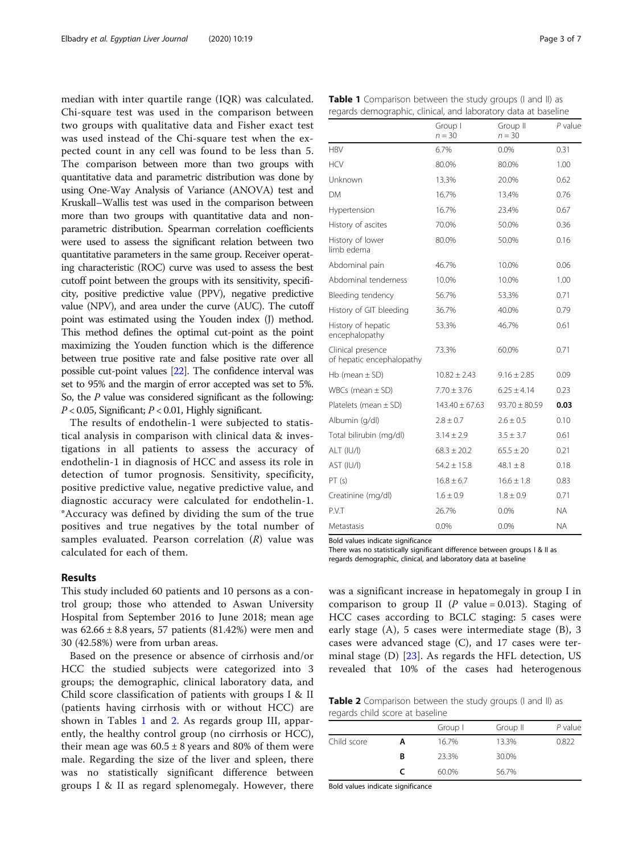median with inter quartile range (IQR) was calculated. Chi-square test was used in the comparison between two groups with qualitative data and Fisher exact test was used instead of the Chi-square test when the expected count in any cell was found to be less than 5. The comparison between more than two groups with quantitative data and parametric distribution was done by using One-Way Analysis of Variance (ANOVA) test and Kruskall–Wallis test was used in the comparison between more than two groups with quantitative data and nonparametric distribution. Spearman correlation coefficients were used to assess the significant relation between two quantitative parameters in the same group. Receiver operating characteristic (ROC) curve was used to assess the best cutoff point between the groups with its sensitivity, specificity, positive predictive value (PPV), negative predictive value (NPV), and area under the curve (AUC). The cutoff point was estimated using the Youden index (J) method. This method defines the optimal cut-point as the point maximizing the Youden function which is the difference between true positive rate and false positive rate over all possible cut-point values [\[22](#page-5-0)]. The confidence interval was set to 95% and the margin of error accepted was set to 5%. So, the P value was considered significant as the following:  $P < 0.05$ , Significant;  $P < 0.01$ , Highly significant.

The results of endothelin-1 were subjected to statistical analysis in comparison with clinical data & investigations in all patients to assess the accuracy of endothelin-1 in diagnosis of HCC and assess its role in detection of tumor prognosis. Sensitivity, specificity, positive predictive value, negative predictive value, and diagnostic accuracy were calculated for endothelin-1. \*Accuracy was defined by dividing the sum of the true positives and true negatives by the total number of samples evaluated. Pearson correlation  $(R)$  value was calculated for each of them.

## Results

This study included 60 patients and 10 persons as a control group; those who attended to Aswan University Hospital from September 2016 to June 2018; mean age was  $62.66 \pm 8.8$  years, 57 patients (81.42%) were men and 30 (42.58%) were from urban areas.

Based on the presence or absence of cirrhosis and/or HCC the studied subjects were categorized into 3 groups; the demographic, clinical laboratory data, and Child score classification of patients with groups I & II (patients having cirrhosis with or without HCC) are shown in Tables 1 and 2. As regards group III, apparently, the healthy control group (no cirrhosis or HCC), their mean age was  $60.5 \pm 8$  years and 80% of them were male. Regarding the size of the liver and spleen, there was no statistically significant difference between groups I & II as regard splenomegaly. However, there

|                                                | Group I<br>$n = 30$ | Group II<br>$n = 30$ | $P$ value |
|------------------------------------------------|---------------------|----------------------|-----------|
| <b>HBV</b>                                     | 6.7%                | $0.0\%$              | 0.31      |
| <b>HCV</b>                                     | 80.0%               | 80.0%                | 1.00      |
| Unknown                                        | 13.3%               | 20.0%                | 0.62      |
| DМ                                             | 16.7%               | 13.4%                | 0.76      |
| Hypertension                                   | 16.7%               | 23.4%                | 0.67      |
| History of ascites                             | 70.0%               | 50.0%                | 0.36      |
| History of lower<br>limb edema                 | 80.0%               | 50.0%                | 0.16      |
| Abdominal pain                                 | 46.7%               | 10.0%                | 0.06      |
| Abdominal tenderness                           | 10.0%               | 10.0%                | 1.00      |
| Bleeding tendency                              | 56.7%               | 53.3%                | 0.71      |
| History of GIT bleeding                        | 36.7%               | 40.0%                | 0.79      |
| History of hepatic<br>encephalopathy           | 53.3%               | 46.7%                | 0.61      |
| Clinical presence<br>of hepatic encephalopathy | 73.3%               | 60.0%                | 0.71      |
| $Hb$ (mean $\pm$ SD)                           | $10.82 \pm 2.43$    | $9.16 \pm 2.85$      | 0.09      |
| WBCs (mean $\pm$ SD)                           | $7.70 + 3.76$       | $6.25 \pm 4.14$      | 0.23      |
| Platelets (mean $\pm$ SD)                      | $143.40 \pm 67.63$  | $93.70 \pm 80.59$    | 0.03      |
| Albumin (g/dl)                                 | $2.8 \pm 0.7$       | $2.6 \pm 0.5$        | 0.10      |
| Total bilirubin (mg/dl)                        | $3.14 \pm 2.9$      | $3.5 \pm 3.7$        | 0.61      |
| ALT (IU/I)                                     | $68.3 \pm 20.2$     | $65.5 \pm 20$        | 0.21      |
| AST (IU/I)                                     | $54.2 \pm 15.8$     | $48.1 \pm 8$         | 0.18      |
| PT(s)                                          | $16.8 + 6.7$        | $16.6 + 1.8$         | 0.83      |
| Creatinine (mg/dl)                             | $1.6 \pm 0.9$       | $1.8 \pm 0.9$        | 0.71      |
| P.V.T                                          | 26.7%               | 0.0%                 | <b>NA</b> |
| Metastasis                                     | 0.0%                | 0.0%                 | <b>NA</b> |

Bold values indicate significance

There was no statistically significant difference between groups I & II as regards demographic, clinical, and laboratory data at baseline

was a significant increase in hepatomegaly in group I in comparison to group II ( $P$  value = 0.013). Staging of HCC cases according to BCLC staging: 5 cases were early stage (A), 5 cases were intermediate stage (B), 3 cases were advanced stage (C), and 17 cases were terminal stage  $(D)$  [\[23](#page-5-0)]. As regards the HFL detection, US revealed that 10% of the cases had heterogenous

Table 2 Comparison between the study groups (I and II) as regards child score at baseline

|             |   | Group I | Group II | $P$ value |
|-------------|---|---------|----------|-----------|
| Child score | A | 16.7%   | 13.3%    | 0.822     |
|             | В | 23.3%   | 30.0%    |           |
|             |   | 60.0%   | 56.7%    |           |

Bold values indicate significance

| <b>Table 1</b> Comparison between the study groups (I and II) as |  |  |  |  |
|------------------------------------------------------------------|--|--|--|--|
| regards demographic, clinical, and laboratory data at baseline   |  |  |  |  |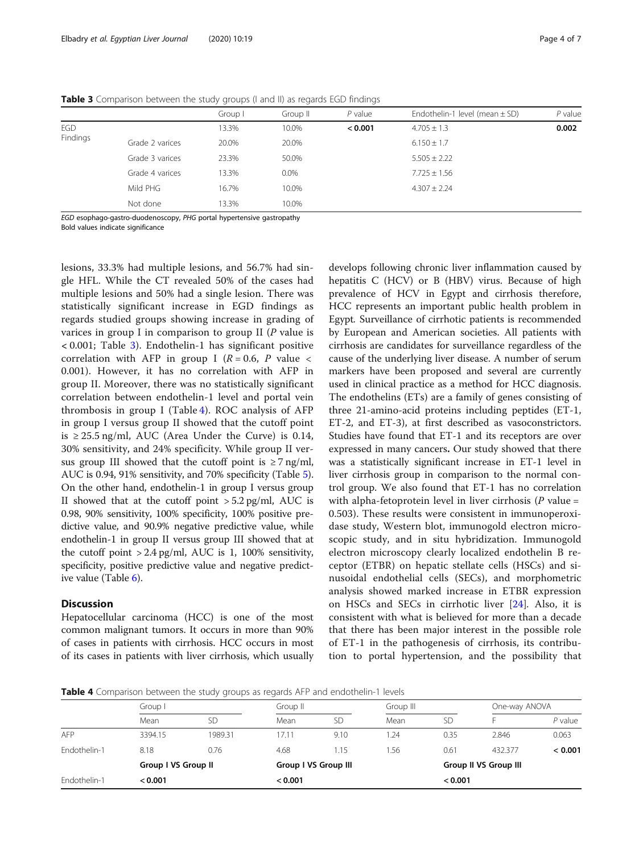Table 3 Comparison between the study groups (I and II) as regards EGD findings

|          |                 | Group I | Group II | $P$ value | Endothelin-1 level (mean $\pm$ SD) | $P$ value |
|----------|-----------------|---------|----------|-----------|------------------------------------|-----------|
| EGD      |                 | 13.3%   | 10.0%    | < 0.001   | $4.705 \pm 1.3$                    | 0.002     |
| Findings | Grade 2 varices | 20.0%   | 20.0%    |           | $6.150 \pm 1.7$                    |           |
|          | Grade 3 varices | 23.3%   | 50.0%    |           | $5.505 \pm 2.22$                   |           |
|          | Grade 4 varices | 13.3%   | $0.0\%$  |           | $7.725 \pm 1.56$                   |           |
|          | Mild PHG        | 16.7%   | 10.0%    |           | $4.307 + 2.24$                     |           |
|          | Not done        | 13.3%   | 10.0%    |           |                                    |           |

EGD esophago-gastro-duodenoscopy, PHG portal hypertensive gastropathy Bold values indicate significance

lesions, 33.3% had multiple lesions, and 56.7% had single HFL. While the CT revealed 50% of the cases had multiple lesions and 50% had a single lesion. There was statistically significant increase in EGD findings as regards studied groups showing increase in grading of varices in group I in comparison to group II (P value is < 0.001; Table 3). Endothelin-1 has significant positive correlation with AFP in group I ( $R = 0.6$ , P value < 0.001). However, it has no correlation with AFP in group II. Moreover, there was no statistically significant correlation between endothelin-1 level and portal vein thrombosis in group I (Table 4). ROC analysis of AFP in group I versus group II showed that the cutoff point is ≥ 25.5 ng/ml, AUC (Area Under the Curve) is 0.14, 30% sensitivity, and 24% specificity. While group II versus group III showed that the cutoff point is  $\geq 7$  ng/ml, AUC is 0.94, 91% sensitivity, and 70% specificity (Table [5](#page-4-0)). On the other hand, endothelin-1 in group I versus group II showed that at the cutoff point  $> 5.2$  pg/ml, AUC is 0.98, 90% sensitivity, 100% specificity, 100% positive predictive value, and 90.9% negative predictive value, while endothelin-1 in group II versus group III showed that at the cutoff point > 2.4 pg/ml, AUC is 1, 100% sensitivity, specificity, positive predictive value and negative predictive value (Table [6\)](#page-4-0).

# **Discussion**

Hepatocellular carcinoma (HCC) is one of the most common malignant tumors. It occurs in more than 90% of cases in patients with cirrhosis. HCC occurs in most of its cases in patients with liver cirrhosis, which usually

develops following chronic liver inflammation caused by hepatitis C (HCV) or B (HBV) virus. Because of high prevalence of HCV in Egypt and cirrhosis therefore, HCC represents an important public health problem in Egypt. Surveillance of cirrhotic patients is recommended by European and American societies. All patients with cirrhosis are candidates for surveillance regardless of the cause of the underlying liver disease. A number of serum markers have been proposed and several are currently used in clinical practice as a method for HCC diagnosis. The endothelins (ETs) are a family of genes consisting of three 21-amino-acid proteins including peptides (ET-1, ET-2, and ET-3), at first described as vasoconstrictors. Studies have found that ET-1 and its receptors are over expressed in many cancers. Our study showed that there was a statistically significant increase in ET-1 level in liver cirrhosis group in comparison to the normal control group. We also found that ET-1 has no correlation with alpha-fetoprotein level in liver cirrhosis ( $P$  value = 0.503). These results were consistent in immunoperoxidase study, Western blot, immunogold electron microscopic study, and in situ hybridization. Immunogold electron microscopy clearly localized endothelin B receptor (ETBR) on hepatic stellate cells (HSCs) and sinusoidal endothelial cells (SECs), and morphometric analysis showed marked increase in ETBR expression on HSCs and SECs in cirrhotic liver [[24](#page-5-0)]. Also, it is consistent with what is believed for more than a decade that there has been major interest in the possible role of ET-1 in the pathogenesis of cirrhosis, its contribution to portal hypertension, and the possibility that

Table 4 Comparison between the study groups as regards AFP and endothelin-1 levels

|              | Group I             |         | Group II             |      | Group III             |           | One-way ANOVA |           |
|--------------|---------------------|---------|----------------------|------|-----------------------|-----------|---------------|-----------|
|              | Mean                | SD      | Mean                 | SD   | Mean                  | <b>SD</b> |               | $P$ value |
| AFP          | 3394.15             | 1989.31 | 7.11                 | 9.10 | .24                   | 0.35      | 2.846         | 0.063     |
| Fndothelin-1 | 8.18                | 0.76    | 4.68                 | l.15 | 1.56                  | 0.61      | 432.377       | < 0.001   |
|              | Group I VS Group II |         | Group I VS Group III |      | Group II VS Group III |           |               |           |
| Endothelin-1 | < 0.001             |         | < 0.001              |      |                       | < 0.001   |               |           |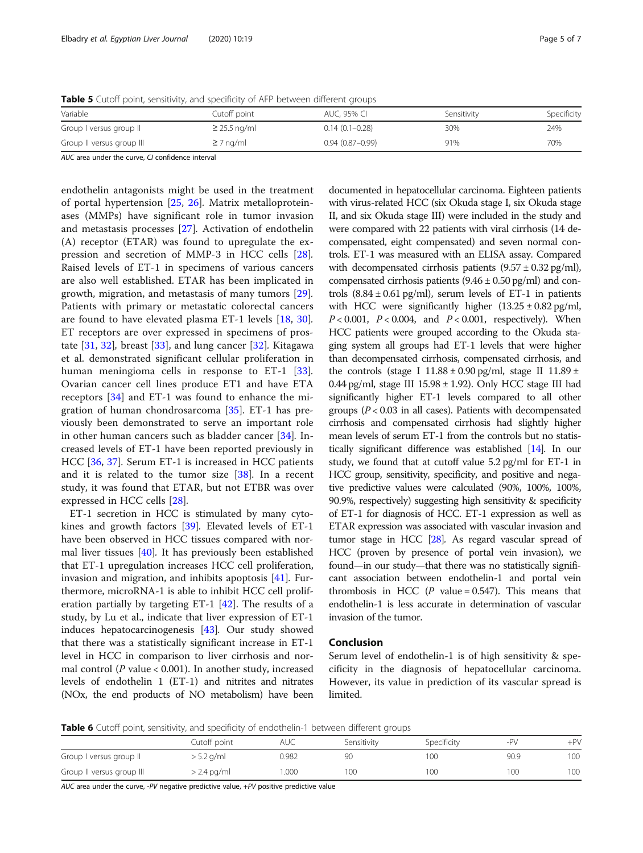<span id="page-4-0"></span>Table 5 Cutoff point, sensitivity, and specificity of AFP between different groups

| Variable                  | Cutoff point      | AUC, 95% CI         | Sensitivity | Specificity |
|---------------------------|-------------------|---------------------|-------------|-------------|
| Group I versus group II   | $\geq$ 25.5 ng/ml | $0.14(0.1 - 0.28)$  | 30%         | 24%         |
| Group II versus group III | $\geq 7$ ng/ml    | $0.94(0.87 - 0.99)$ | 91%         | 70%         |

AUC area under the curve, CI confidence interval

endothelin antagonists might be used in the treatment of portal hypertension [\[25](#page-5-0), [26](#page-5-0)]. Matrix metalloproteinases (MMPs) have significant role in tumor invasion and metastasis processes [\[27](#page-5-0)]. Activation of endothelin (A) receptor (ETAR) was found to upregulate the expression and secretion of MMP-3 in HCC cells [\[28](#page-5-0)]. Raised levels of ET-1 in specimens of various cancers are also well established. ETAR has been implicated in growth, migration, and metastasis of many tumors [\[29](#page-5-0)]. Patients with primary or metastatic colorectal cancers are found to have elevated plasma ET-1 levels [\[18](#page-5-0), [30](#page-5-0)]. ET receptors are over expressed in specimens of prostate  $[31, 32]$  $[31, 32]$  $[31, 32]$ , breast  $[33]$  $[33]$ , and lung cancer  $[32]$ . Kitagawa et al. demonstrated significant cellular proliferation in human meningioma cells in response to ET-1 [\[33](#page-6-0)]. Ovarian cancer cell lines produce ET1 and have ETA receptors [\[34](#page-6-0)] and ET-1 was found to enhance the migration of human chondrosarcoma [[35\]](#page-6-0). ET-1 has previously been demonstrated to serve an important role in other human cancers such as bladder cancer [[34\]](#page-6-0). Increased levels of ET-1 have been reported previously in HCC [[36,](#page-6-0) [37](#page-6-0)]. Serum ET-1 is increased in HCC patients and it is related to the tumor size [\[38](#page-6-0)]. In a recent study, it was found that ETAR, but not ETBR was over expressed in HCC cells [[28\]](#page-5-0).

ET-1 secretion in HCC is stimulated by many cytokines and growth factors [\[39](#page-6-0)]. Elevated levels of ET-1 have been observed in HCC tissues compared with normal liver tissues [[40\]](#page-6-0). It has previously been established that ET-1 upregulation increases HCC cell proliferation, invasion and migration, and inhibits apoptosis [\[41](#page-6-0)]. Furthermore, microRNA-1 is able to inhibit HCC cell proliferation partially by targeting ET-1 [[42\]](#page-6-0). The results of a study, by Lu et al., indicate that liver expression of ET-1 induces hepatocarcinogenesis [[43\]](#page-6-0). Our study showed that there was a statistically significant increase in ET-1 level in HCC in comparison to liver cirrhosis and normal control ( $P$  value < 0.001). In another study, increased levels of endothelin 1 (ET-1) and nitrites and nitrates (NOx, the end products of NO metabolism) have been documented in hepatocellular carcinoma. Eighteen patients with virus-related HCC (six Okuda stage I, six Okuda stage II, and six Okuda stage III) were included in the study and were compared with 22 patients with viral cirrhosis (14 decompensated, eight compensated) and seven normal controls. ET-1 was measured with an ELISA assay. Compared with decompensated cirrhosis patients  $(9.57 \pm 0.32 \text{ pg/ml})$ , compensated cirrhosis patients  $(9.46 \pm 0.50 \text{ pg/ml})$  and controls  $(8.84 \pm 0.61 \text{ pg/ml})$ , serum levels of ET-1 in patients with HCC were significantly higher  $(13.25 \pm 0.82 \text{ pg/ml})$ ,  $P < 0.001$ ,  $P < 0.004$ , and  $P < 0.001$ , respectively). When HCC patients were grouped according to the Okuda staging system all groups had ET-1 levels that were higher than decompensated cirrhosis, compensated cirrhosis, and the controls (stage I  $11.88 \pm 0.90$  pg/ml, stage II  $11.89 \pm$ 0.44 pg/ml, stage III  $15.98 \pm 1.92$ ). Only HCC stage III had significantly higher ET-1 levels compared to all other groups ( $P < 0.03$  in all cases). Patients with decompensated cirrhosis and compensated cirrhosis had slightly higher mean levels of serum ET-1 from the controls but no statistically significant difference was established [[14](#page-5-0)]. In our study, we found that at cutoff value 5.2 pg/ml for ET-1 in HCC group, sensitivity, specificity, and positive and negative predictive values were calculated (90%, 100%, 100%, 90.9%, respectively) suggesting high sensitivity & specificity of ET-1 for diagnosis of HCC. ET-1 expression as well as ETAR expression was associated with vascular invasion and tumor stage in HCC [\[28\]](#page-5-0). As regard vascular spread of HCC (proven by presence of portal vein invasion), we found—in our study—that there was no statistically significant association between endothelin-1 and portal vein thrombosis in HCC (P value =  $0.547$ ). This means that endothelin-1 is less accurate in determination of vascular invasion of the tumor.

# Conclusion

Serum level of endothelin-1 is of high sensitivity & specificity in the diagnosis of hepatocellular carcinoma. However, its value in prediction of its vascular spread is limited.

Table 6 Cutoff point, sensitivity, and specificity of endothelin-1 between different groups

|                           | Cutoff point  | AUC   | Sensitivity | Specificity | _D\' | $+PV$ |
|---------------------------|---------------|-------|-------------|-------------|------|-------|
| Group I versus group II   | > 5.2 g/ml    | 0.982 | 90          | 00          | 90.9 | 100   |
| Group II versus group III | $>$ 2.4 pg/ml | .000  | 100         | 00          | 100  | 100   |

AUC area under the curve, -PV negative predictive value, +PV positive predictive value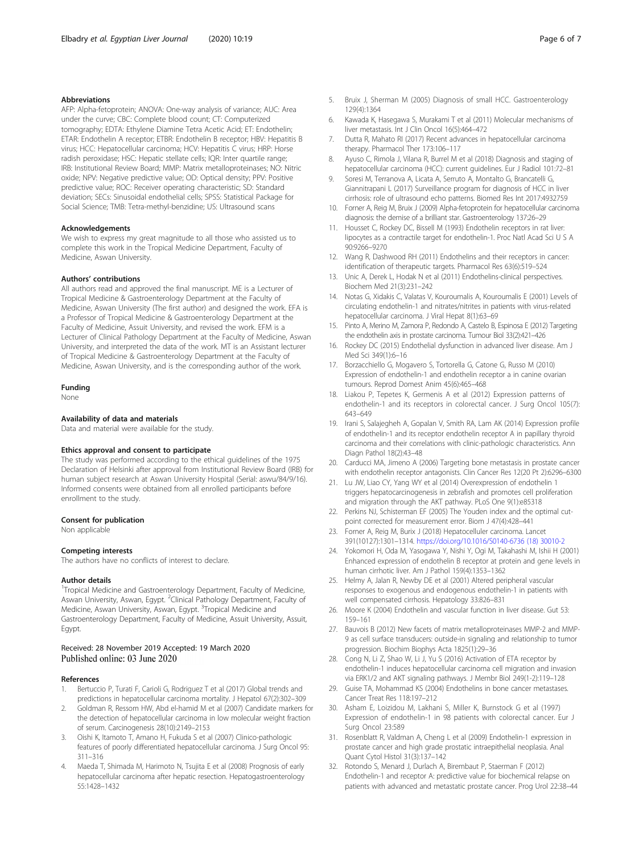## <span id="page-5-0"></span>Abbreviations

AFP: Alpha-fetoprotein; ANOVA: One-way analysis of variance; AUC: Area under the curve; CBC: Complete blood count; CT: Computerized tomography; EDTA: Ethylene Diamine Tetra Acetic Acid; ET: Endothelin; ETAR: Endothelin A receptor; ETBR: Endothelin B receptor; HBV: Hepatitis B virus; HCC: Hepatocellular carcinoma; HCV: Hepatitis C virus; HRP: Horse radish peroxidase; HSC: Hepatic stellate cells; IQR: Inter quartile range; IRB: Institutional Review Board; MMP: Matrix metalloproteinases; NO: Nitric oxide; NPV: Negative predictive value; OD: Optical density; PPV: Positive predictive value; ROC: Receiver operating characteristic; SD: Standard deviation; SECs: Sinusoidal endothelial cells; SPSS: Statistical Package for Social Science; TMB: Tetra-methyl-benzidine; US: Ultrasound scans

#### Acknowledgements

We wish to express my great magnitude to all those who assisted us to complete this work in the Tropical Medicine Department, Faculty of Medicine, Aswan University.

#### Authors' contributions

All authors read and approved the final manuscript. ME is a Lecturer of Tropical Medicine & Gastroenterology Department at the Faculty of Medicine, Aswan University (The first author) and designed the work. EFA is a Professor of Tropical Medicine & Gastroenterology Department at the Faculty of Medicine, Assuit University, and revised the work. EFM is a Lecturer of Clinical Pathology Department at the Faculty of Medicine, Aswan University, and interpreted the data of the work. MT is an Assistant lecturer of Tropical Medicine & Gastroenterology Department at the Faculty of Medicine, Aswan University, and is the corresponding author of the work.

## Funding

None

#### Availability of data and materials

Data and material were available for the study.

#### Ethics approval and consent to participate

The study was performed according to the ethical guidelines of the 1975 Declaration of Helsinki after approval from Institutional Review Board (IRB) for human subject research at Aswan University Hospital (Serial: aswu/84/9/16). Informed consents were obtained from all enrolled participants before enrollment to the study.

#### Consent for publication

Non applicable

#### Competing interests

The authors have no conflicts of interest to declare.

#### Author details

<sup>1</sup>Tropical Medicine and Gastroenterology Department, Faculty of Medicine, Aswan University, Aswan, Egypt. <sup>2</sup>Clinical Pathology Department, Faculty of Medicine, Aswan University, Aswan, Egypt. <sup>3</sup>Tropical Medicine and Gastroenterology Department, Faculty of Medicine, Assuit University, Assuit, Egypt.

## Received: 28 November 2019 Accepted: 19 March 2020 Published online: 03 June 2020

#### References

- 1. Bertuccio P, Turati F, Carioli G, Rodriguez T et al (2017) Global trends and predictions in hepatocellular carcinoma mortality. J Hepatol 67(2):302–309
- 2. Goldman R, Ressom HW, Abd el-hamid M et al (2007) Candidate markers for the detection of hepatocellular carcinoma in low molecular weight fraction of serum. Carcinogenesis 28(10):2149–2153
- 3. Oishi K, Itamoto T, Amano H, Fukuda S et al (2007) Clinico-pathologic features of poorly differentiated hepatocellular carcinoma. J Surg Oncol 95: 311–316
- 4. Maeda T, Shimada M, Harimoto N, Tsujita E et al (2008) Prognosis of early hepatocellular carcinoma after hepatic resection. Hepatogastroenterology 55:1428–1432
- 5. Bruix J, Sherman M (2005) Diagnosis of small HCC. Gastroenterology 129(4):1364
- 6. Kawada K, Hasegawa S, Murakami T et al (2011) Molecular mechanisms of liver metastasis. Int J Clin Oncol 16(5):464–472
- 7. Dutta R, Mahato RI (2017) Recent advances in hepatocellular carcinoma therapy. Pharmacol Ther 173:106–117
- 8. Ayuso C, Rimola J, Vilana R, Burrel M et al (2018) Diagnosis and staging of hepatocellular carcinoma (HCC): current guidelines. Eur J Radiol 101:72–81
- 9. Soresi M, Terranova A, Licata A, Serruto A, Montalto G, Brancatelli G, Giannitrapani L (2017) Surveillance program for diagnosis of HCC in liver cirrhosis: role of ultrasound echo patterns. Biomed Res Int 2017:4932759
- 10. Forner A, Reig M, Bruix J (2009) Alpha-fetoprotein for hepatocellular carcinoma diagnosis: the demise of a brilliant star. Gastroenterology 137:26–29
- 11. Housset C, Rockey DC, Bissell M (1993) Endothelin receptors in rat liver: lipocytes as a contractile target for endothelin-1. Proc Natl Acad Sci U S A 90:9266–9270
- 12. Wang R, Dashwood RH (2011) Endothelins and their receptors in cancer: identification of therapeutic targets. Pharmacol Res 63(6):519–524
- 13. Unic A, Derek L, Hodak N et al (2011) Endothelins-clinical perspectives. Biochem Med 21(3):231–242
- 14. Notas G, Xidakis C, Valatas V, Kouroumalis A, Kouroumalis E (2001) Levels of circulating endothelin-1 and nitrates/nitrites in patients with virus-related hepatocellular carcinoma. J Viral Hepat 8(1):63–69
- 15. Pinto A, Merino M, Zamora P, Redondo A, Castelo B, Espinosa E (2012) Targeting the endothelin axis in prostate carcinoma. Tumour Biol 33(2):421–426
- 16. Rockey DC (2015) Endothelial dysfunction in advanced liver disease. Am J Med Sci 349(1):6–16
- 17. Borzacchiello G, Mogavero S, Tortorella G, Catone G, Russo M (2010) Expression of endothelin-1 and endothelin receptor a in canine ovarian tumours. Reprod Domest Anim 45(6):465–468
- 18. Liakou P, Tepetes K, Germenis A et al (2012) Expression patterns of endothelin-1 and its receptors in colorectal cancer. J Surg Oncol 105(7): 643–649
- 19. Irani S, Salajegheh A, Gopalan V, Smith RA, Lam AK (2014) Expression profile of endothelin-1 and its receptor endothelin receptor A in papillary thyroid carcinoma and their correlations with clinic-pathologic characteristics. Ann Diagn Pathol 18(2):43–48
- 20. Carducci MA, Jimeno A (2006) Targeting bone metastasis in prostate cancer with endothelin receptor antagonists. Clin Cancer Res 12(20 Pt 2):6296–6300
- 21. Lu JW, Liao CY, Yang WY et al (2014) Overexpression of endothelin 1 triggers hepatocarcinogenesis in zebrafish and promotes cell proliferation and migration through the AKT pathway. PLoS One 9(1):e85318
- 22. Perkins NJ, Schisterman EF (2005) The Youden index and the optimal cutpoint corrected for measurement error. Biom J 47(4):428–441
- 23. Forner A, Reig M, Burix J (2018) Hepatocelluler carcinoma. Lancet 391(10127):1301–1314. [https://doi.org/10.1016/S0140-6736 \(18\) 30010-2](https://doi.org/10.1016/S0140-6736 (18) 30010-2)
- 24. Yokomori H, Oda M, Yasogawa Y, Nishi Y, Ogi M, Takahashi M, Ishii H (2001) Enhanced expression of endothelin B receptor at protein and gene levels in human cirrhotic liver. Am J Pathol 159(4):1353–1362
- 25. Helmy A, Jalan R, Newby DE et al (2001) Altered peripheral vascular responses to exogenous and endogenous endothelin-1 in patients with well compensated cirrhosis. Hepatology 33:826–831
- 26. Moore K (2004) Endothelin and vascular function in liver disease. Gut 53: 159–161
- 27. Bauvois B (2012) New facets of matrix metalloproteinases MMP-2 and MMP-9 as cell surface transducers: outside-in signaling and relationship to tumor progression. Biochim Biophys Acta 1825(1):29–36
- 28. Cong N, Li Z, Shao W, Li J, Yu S (2016) Activation of ETA receptor by endothelin-1 induces hepatocellular carcinoma cell migration and invasion via ERK1/2 and AKT signaling pathways. J Membr Biol 249(1-2):119–128
- 29. Guise TA, Mohammad KS (2004) Endothelins in bone cancer metastases. Cancer Treat Res 118:197–212
- 30. Asham E, Loizidou M, Lakhani S, Miller K, Burnstock G et al (1997) Expression of endothelin-1 in 98 patients with colorectal cancer. Eur J Surg Oncol 23:589
- 31. Rosenblatt R, Valdman A, Cheng L et al (2009) Endothelin-1 expression in prostate cancer and high grade prostatic intraepithelial neoplasia. Anal Quant Cytol Histol 31(3):137–142
- 32. Rotondo S, Menard J, Durlach A, Birembaut P, Staerman F (2012) Endothelin-1 and receptor A: predictive value for biochemical relapse on patients with advanced and metastatic prostate cancer. Prog Urol 22:38–44